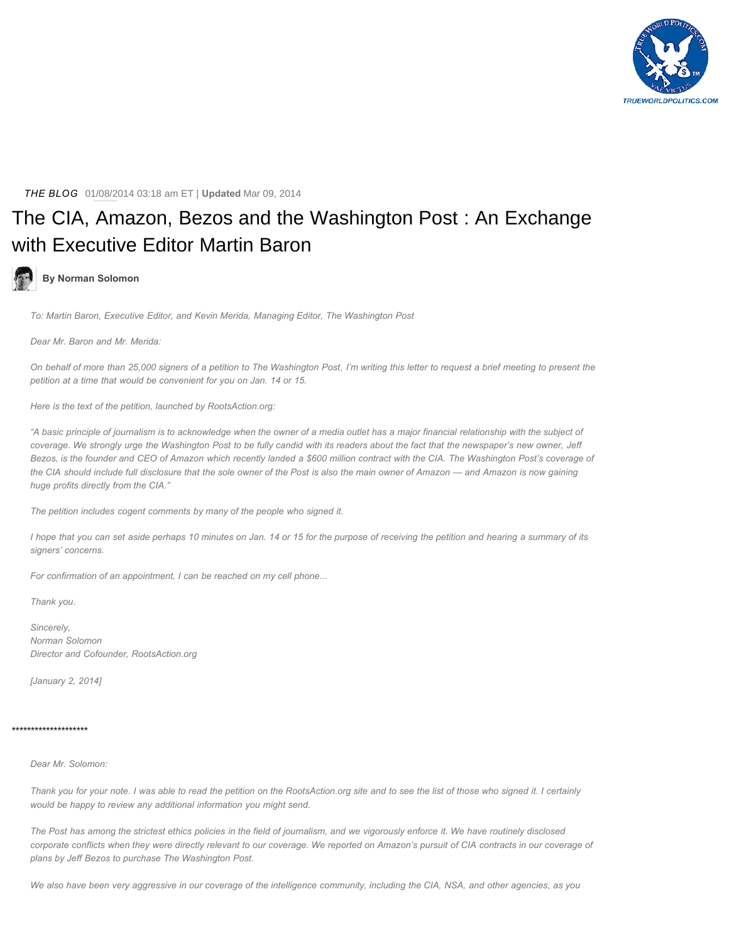

*THE BLOG* 01/08/2014 03:18 am ET | **Updated** Mar 09, 2014

# [The CIA, Amazon, Bezos and the Washington Post : An Exchange](https://www.huffingtonpost.com/norman-solomon/the-cia-amazon-bezos-and_b_4559317.html) with Executive Editor Martin Baron

## **By Norman Solomon**

*To: Martin Baron, Executive Editor, and Kevin Merida, Managing Editor, The Washington Post*

*Dear Mr. Baron and Mr. Merida:*

*On behalf of more than 25,000 signers of a petition to The Washington Post, I'm writing this letter to request a brief meeting to present the petition at a time that would be convenient for you on Jan. 14 or 15.*

*Here is the text of the petition, launched by RootsAction.org:*

*"A basic principle of journalism is to acknowledge when the owner of a media outlet has a major financial relationship with the subject of coverage. We strongly urge the Washington Post to be fully candid with its readers about the fact that the newspaper's new owner, Jeff Bezos, is the founder and CEO of Amazon which recently landed a \$600 million contract with the CIA. The Washington Post's coverage of the CIA should include full disclosure that the sole owner of the Post is also the main owner of Amazon — and Amazon is now gaining huge profits directly from the CIA."*

*The petition includes cogent comments by many of the people who signed it.*

*I hope that you can set aside perhaps 10 minutes on Jan. 14 or 15 for the purpose of receiving the petition and hearing a summary of its signers' concerns.*

*For confirmation of an appointment, I can be reached on my cell phone...*

*Thank you.*

*Sincerely, Norman Solomon Director and Cofounder, RootsAction.org*

*[January 2, 2014]*

### \*\*\*\*\*\*\*\*\*\*\*\*\*\*\*\*\*\*\*\*

## *Dear Mr. Solomon:*

*Thank you for your note. I was able to read the petition on the RootsAction.org site and to see the list of those who signed it. I certainly would be happy to review any additional information you might send.*

*The Post has among the strictest ethics policies in the field of journalism, and we vigorously enforce it. We have routinely disclosed corporate conflicts when they were directly relevant to our coverage. We reported on Amazon's pursuit of CIA contracts in our coverage of plans by Jeff Bezos to purchase The Washington Post.*

*We also have been very aggressive in our coverage of the intelligence community, including the CIA, NSA, and other agencies, as you*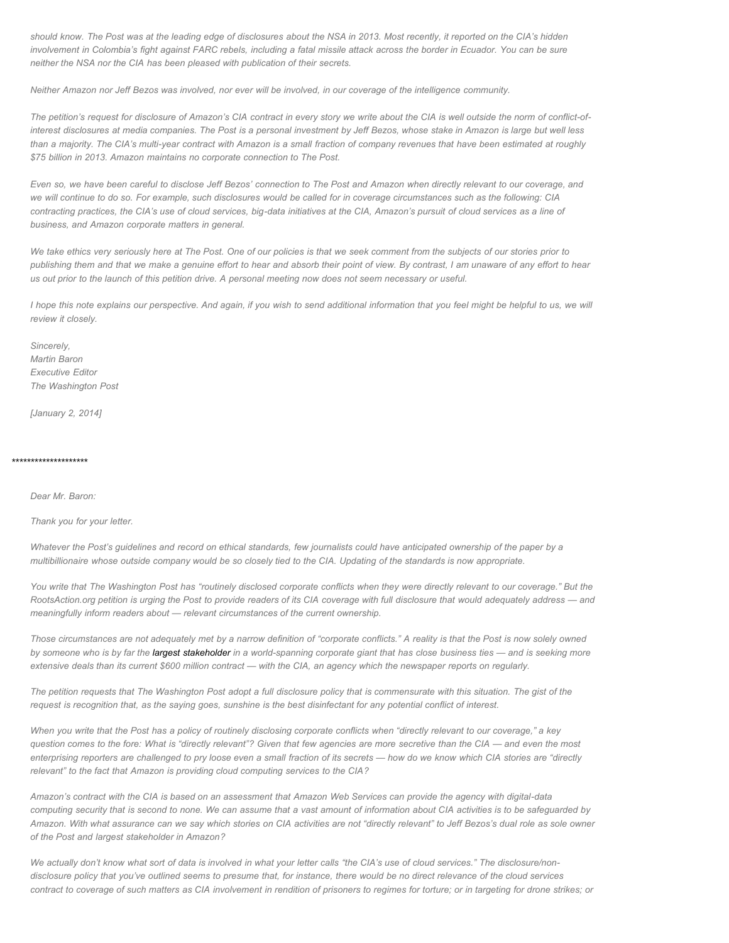*should know. The Post was at the leading edge of disclosures about the NSA in 2013. Most recently, it reported on the CIA's hidden involvement in Colombia's fight against FARC rebels, including a fatal missile attack across the border in Ecuador. You can be sure neither the NSA nor the CIA has been pleased with publication of their secrets.*

*Neither Amazon nor Jeff Bezos was involved, nor ever will be involved, in our coverage of the intelligence community.*

*The petition's request for disclosure of Amazon's CIA contract in every story we write about the CIA is well outside the norm of conflict-ofinterest disclosures at media companies. The Post is a personal investment by Jeff Bezos, whose stake in Amazon is large but well less than a majority. The CIA's multi-year contract with Amazon is a small fraction of company revenues that have been estimated at roughly \$75 billion in 2013. Amazon maintains no corporate connection to The Post.*

*Even so, we have been careful to disclose Jeff Bezos' connection to The Post and Amazon when directly relevant to our coverage, and we will continue to do so. For example, such disclosures would be called for in coverage circumstances such as the following: CIA contracting practices, the CIA's use of cloud services, big-data initiatives at the CIA, Amazon's pursuit of cloud services as a line of business, and Amazon corporate matters in general.*

*We take ethics very seriously here at The Post. One of our policies is that we seek comment from the subjects of our stories prior to publishing them and that we make a genuine effort to hear and absorb their point of view. By contrast, I am unaware of any effort to hear us out prior to the launch of this petition drive. A personal meeting now does not seem necessary or useful.*

*I hope this note explains our perspective. And again, if you wish to send additional information that you feel might be helpful to us, we will review it closely.* 

*Sincerely, Martin Baron Executive Editor The Washington Post*

*[January 2, 2014]*

# \*\*\*\*\*\*\*\*\*\*\*\*\*\*\*\*\*\*\*\*

*Dear Mr. Baron:*

*Thank you for your letter.*

*Whatever the Post's guidelines and record on ethical standards, few journalists could have anticipated ownership of the paper by a multibillionaire whose outside company would be so closely tied to the CIA. Updating of the standards is now appropriate.*

*You write that The Washington Post has "routinely disclosed corporate conflicts when they were directly relevant to our coverage." But the RootsAction.org petition is urging the Post to provide readers of its CIA coverage with full disclosure that would adequately address — and meaningfully inform readers about — relevant circumstances of the current ownership.*

*Those circumstances are not adequately met by a narrow definition of "corporate conflicts." A reality is that the Post is now solely owned by someone who is by far the [largest stakeholder i](http://finance.yahoo.com/q/mh?s=amzn+Major+Holders)n a world-spanning corporate giant that has close business ties — and is seeking more extensive deals than its current \$600 million contract — with the CIA, an agency which the newspaper reports on regularly.*

*The petition requests that The Washington Post adopt a full disclosure policy that is commensurate with this situation. The gist of the request is recognition that, as the saying goes, sunshine is the best disinfectant for any potential conflict of interest.*

*When you write that the Post has a policy of routinely disclosing corporate conflicts when "directly relevant to our coverage," a key question comes to the fore: What is "directly relevant"? Given that few agencies are more secretive than the CIA — and even the most enterprising reporters are challenged to pry loose even a small fraction of its secrets — how do we know which CIA stories are "directly relevant" to the fact that Amazon is providing cloud computing services to the CIA?*

*Amazon's contract with the CIA is based on an assessment that Amazon Web Services can provide the agency with digital-data computing security that is second to none. We can assume that a vast amount of information about CIA activities is to be safeguarded by Amazon. With what assurance can we say which stories on CIA activities are not "directly relevant" to Jeff Bezos's dual role as sole owner of the Post and largest stakeholder in Amazon?*

*We actually don't know what sort of data is involved in what your letter calls "the CIA's use of cloud services." The disclosure/nondisclosure policy that you've outlined seems to presume that, for instance, there would be no direct relevance of the cloud services contract to coverage of such matters as CIA involvement in rendition of prisoners to regimes for torture; or in targeting for drone strikes; or*